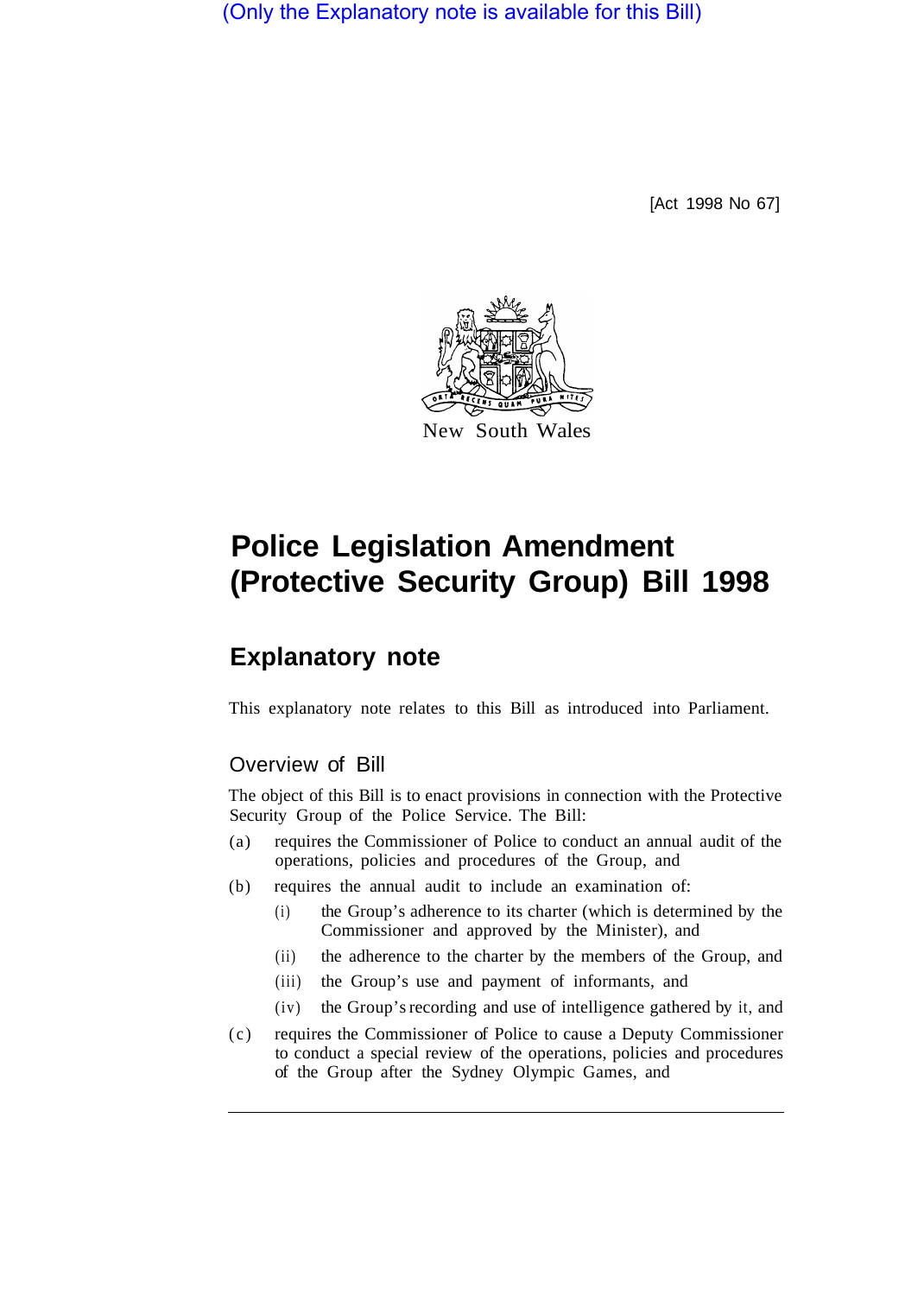(Only the Explanatory note is available for this Bill)

[Act 1998 No 67]



## **Police Legislation Amendment (Protective Security Group) Bill 1998**

## **Explanatory note**

This explanatory note relates to this Bill as introduced into Parliament.

## Overview of Bill

The object of this Bill is to enact provisions in connection with the Protective Security Group of the Police Service. The Bill:

- (a) requires the Commissioner of Police to conduct an annual audit of the operations, policies and procedures of the Group, and
- (b) requires the annual audit to include an examination of:
	- (i) the Group's adherence to its charter (which is determined by the Commissioner and approved by the Minister), and
	- (ii) the adherence to the charter by the members of the Group, and
	- (iii) the Group's use and payment of informants, and
	- (iv) the Group's recording and use of intelligence gathered by it, and
- (c) requires the Commissioner of Police to cause a Deputy Commissioner to conduct a special review of the operations, policies and procedures of the Group after the Sydney Olympic Games, and